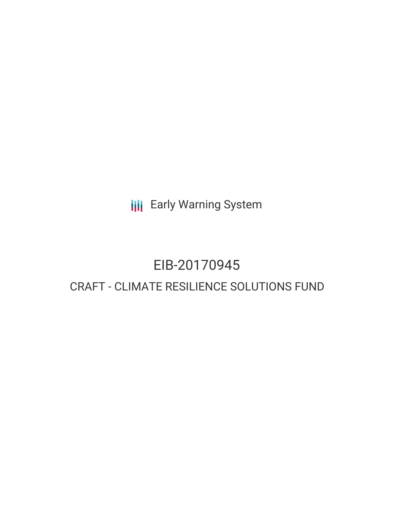**III** Early Warning System

# EIB-20170945

## CRAFT - CLIMATE RESILIENCE SOLUTIONS FUND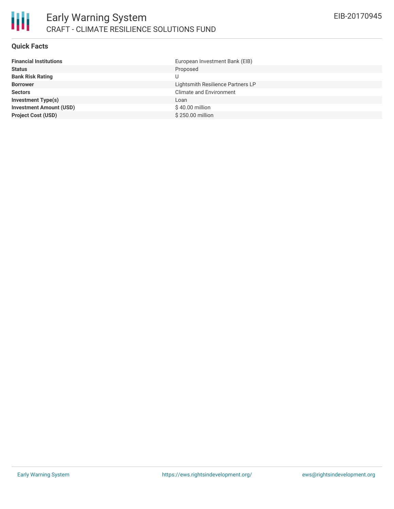### **Quick Facts**

| <b>Financial Institutions</b>  | European Investment Bank (EIB)    |
|--------------------------------|-----------------------------------|
| <b>Status</b>                  | Proposed                          |
| <b>Bank Risk Rating</b>        | U                                 |
| <b>Borrower</b>                | Lightsmith Resilience Partners LP |
| <b>Sectors</b>                 | <b>Climate and Environment</b>    |
| <b>Investment Type(s)</b>      | Loan                              |
| <b>Investment Amount (USD)</b> | $$40.00$ million                  |
| <b>Project Cost (USD)</b>      | \$250.00 million                  |
|                                |                                   |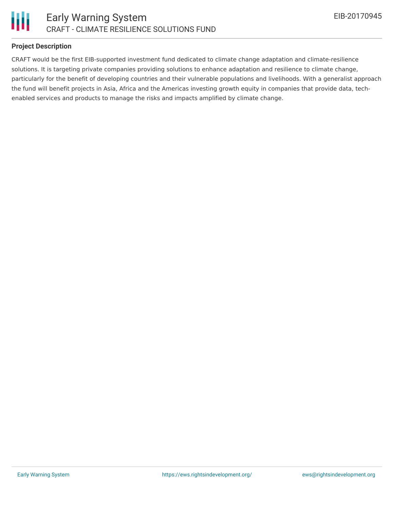



### **Project Description**

CRAFT would be the first EIB-supported investment fund dedicated to climate change adaptation and climate-resilience solutions. It is targeting private companies providing solutions to enhance adaptation and resilience to climate change, particularly for the benefit of developing countries and their vulnerable populations and livelihoods. With a generalist approach the fund will benefit projects in Asia, Africa and the Americas investing growth equity in companies that provide data, techenabled services and products to manage the risks and impacts amplified by climate change.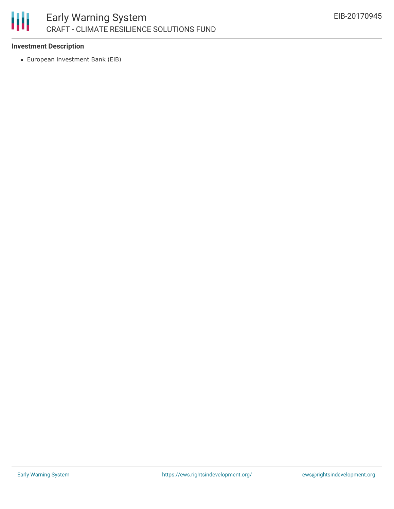

### **Investment Description**

European Investment Bank (EIB)